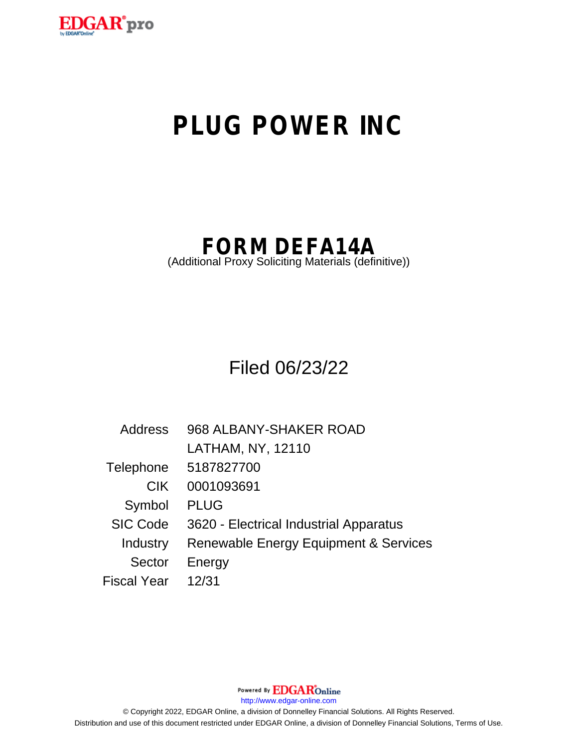

# **PLUG POWER INC**

## **FORM DEFA14A**

(Additional Proxy Soliciting Materials (definitive))

Filed 06/23/22

| Address         | 968 ALBANY-SHAKER ROAD                           |
|-----------------|--------------------------------------------------|
|                 | LATHAM, NY, 12110                                |
| Telephone       | 5187827700                                       |
| <b>CIK</b>      | 0001093691                                       |
| Symbol          | <b>PLUG</b>                                      |
| <b>SIC Code</b> | 3620 - Electrical Industrial Apparatus           |
| Industry        | <b>Renewable Energy Equipment &amp; Services</b> |
| <b>Sector</b>   | Energy                                           |
| Fiscal Year     | 12/31                                            |

Powered By EDGAROnline

http://www.edgar-online.com

© Copyright 2022, EDGAR Online, a division of Donnelley Financial Solutions. All Rights Reserved. Distribution and use of this document restricted under EDGAR Online, a division of Donnelley Financial Solutions, Terms of Use.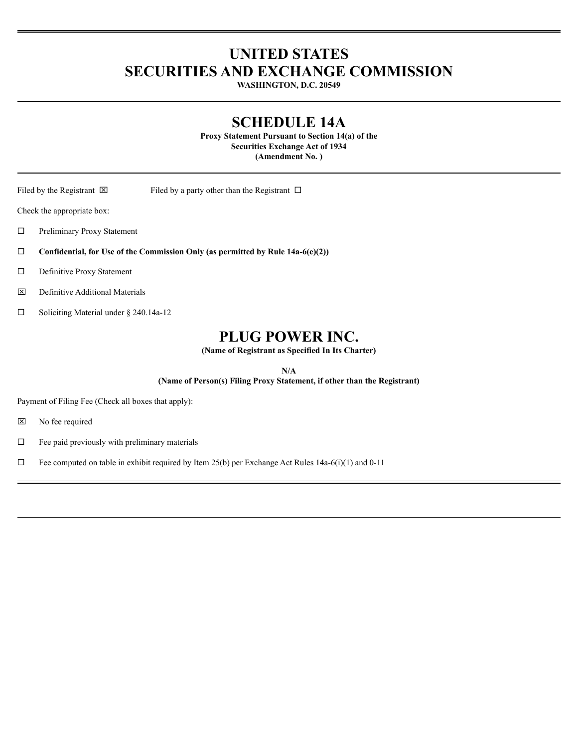## **UNITED STATES SECURITIES AND EXCHANGE COMMISSION**

WASHINGTON, D.C. 20549

### **SCHEDULE 14A**

Proxy Statement Pursuant to Section 14(a) of the **Securities Exchange Act of 1934** (Amendment No.)

Filed by the Registrant  $\boxtimes$ 

Filed by a party other than the Registrant  $\Box$ 

Check the appropriate box:

 $\Box$ Preliminary Proxy Statement

 $\Box$ Confidential, for Use of the Commission Only (as permitted by Rule 14a-6(e)(2))

 $\Box$ Definitive Proxy Statement

 $\boxtimes$ Definitive Additional Materials

 $\Box$ Soliciting Material under § 240.14a-12

## PLUG POWER INC.

(Name of Registrant as Specified In Its Charter)

 $N/A$ 

(Name of Person(s) Filing Proxy Statement, if other than the Registrant)

Payment of Filing Fee (Check all boxes that apply):

図 No fee required

 $\Box$ Fee paid previously with preliminary materials

 $\Box$ Fee computed on table in exhibit required by Item 25(b) per Exchange Act Rules 14a-6(i)(1) and 0-11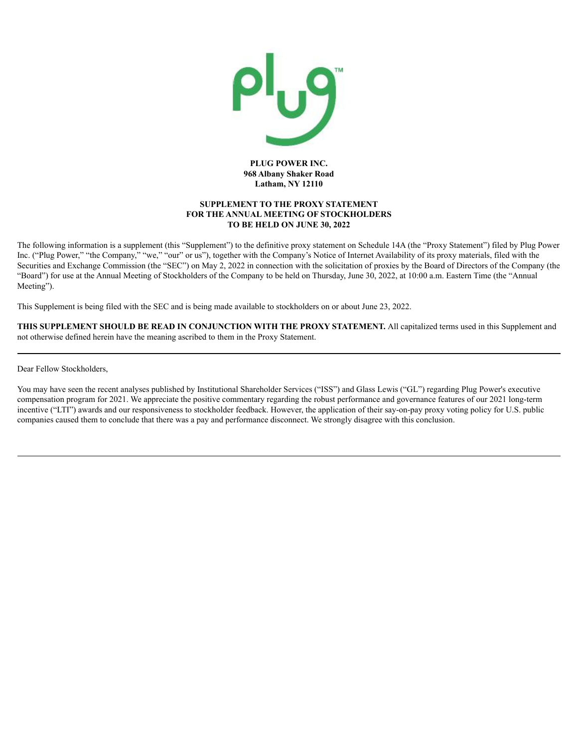

#### **PLUG POWER INC. 968 Albany Shaker Road Latham, NY 12110**

#### **SUPPLEMENT TO THE PROXY STATEMENT FOR THE ANNUAL MEETING OF STOCKHOLDERS TO BE HELD ON JUNE 30, 2022**

The following information is a supplement (this "Supplement") to the definitive proxy statement on Schedule 14A (the "Proxy Statement") filed by Plug Power Inc. ("Plug Power," "the Company," "we," "our" or us"), together with the Company's Notice of Internet Availability of its proxy materials, filed with the Securities and Exchange Commission (the "SEC") on May 2, 2022 in connection with the solicitation of proxies by the Board of Directors of the Company (the "Board") for use at the Annual Meeting of Stockholders of the Company to be held on Thursday, June 30, 2022, at 10:00 a.m. Eastern Time (the "Annual Meeting").

This Supplement is being filed with the SEC and is being made available to stockholders on or about June 23, 2022.

**THIS SUPPLEMENT SHOULD BE READ IN CONJUNCTION WITH THE PROXY STATEMENT.** All capitalized terms used in this Supplement and not otherwise defined herein have the meaning ascribed to them in the Proxy Statement.

Dear Fellow Stockholders,

You may have seen the recent analyses published by Institutional Shareholder Services ("ISS") and Glass Lewis ("GL") regarding Plug Power's executive compensation program for 2021. We appreciate the positive commentary regarding the robust performance and governance features of our 2021 long-term incentive ("LTI") awards and our responsiveness to stockholder feedback. However, the application of their say-on-pay proxy voting policy for U.S. public companies caused them to conclude that there was a pay and performance disconnect. We strongly disagree with this conclusion.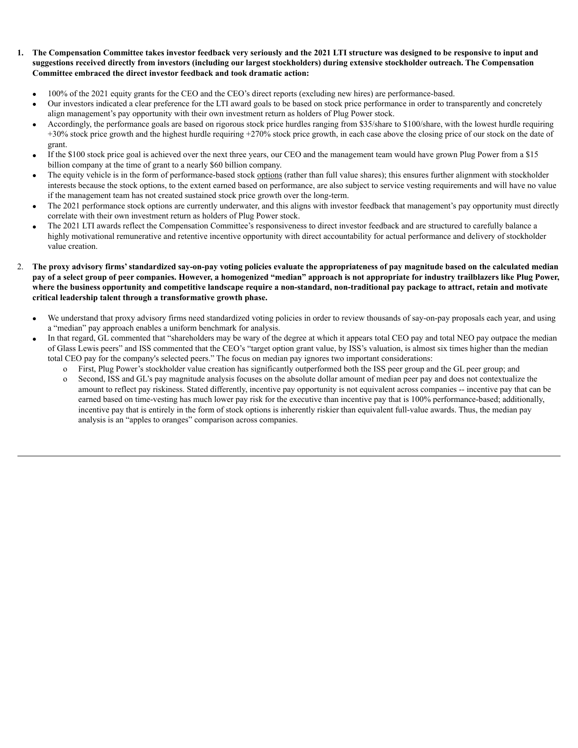#### 1. The Compensation Committee takes investor feedback very seriously and the 2021 LTI structure was designed to be responsive to input and suggestions received directly from investors (including our largest stockholders) during extensive stockholder outreach. The Compensation **Committee embraced the direct investor feedback and took dramatic action:**

- · 100% of the 2021 equity grants for the CEO and the CEO's direct reports (excluding new hires) are performance-based.
- · Our investors indicated a clear preference for the LTI award goals to be based on stock price performance in order to transparently and concretely align management's pay opportunity with their own investment return as holders of Plug Power stock.
- · Accordingly, the performance goals are based on rigorous stock price hurdles ranging from \$35/share to \$100/share, with the lowest hurdle requiring +30% stock price growth and the highest hurdle requiring +270% stock price growth, in each case above the closing price of our stock on the date of grant.
- If the \$100 stock price goal is achieved over the next three years, our CEO and the management team would have grown Plug Power from a \$15 billion company at the time of grant to a nearly \$60 billion company.
- The equity vehicle is in the form of performance-based stock options (rather than full value shares); this ensures further alignment with stockholder interests because the stock options, to the extent earned based on performance, are also subject to service vesting requirements and will have no value if the management team has not created sustained stock price growth over the long-term.
- The 2021 performance stock options are currently underwater, and this aligns with investor feedback that management's pay opportunity must directly correlate with their own investment return as holders of Plug Power stock.
- · The 2021 LTI awards reflect the Compensation Committee's responsiveness to direct investor feedback and are structured to carefully balance a highly motivational remunerative and retentive incentive opportunity with direct accountability for actual performance and delivery of stockholder value creation.
- 2. The proxy advisory firms' standardized say-on-pay voting policies evaluate the appropriateness of pay magnitude based on the calculated median pay of a select group of peer companies. However, a homogenized "median" approach is not appropriate for industry trailblazers like Plug Power, where the business opportunity and competitive landscape require a non-standard, non-traditional pay package to attract, retain and motivate **critical leadership talent through a transformative growth phase.**
	- We understand that proxy advisory firms need standardized voting policies in order to review thousands of say-on-pay proposals each year, and using a "median" pay approach enables a uniform benchmark for analysis.
	- In that regard, GL commented that "shareholders may be wary of the degree at which it appears total CEO pay and total NEO pay outpace the median of Glass Lewis peers" and ISS commented that the CEO's "target option grant value, by ISS's valuation, is almost six times higher than the median total CEO pay for the company's selected peers." The focus on median pay ignores two important considerations:
		- o First, Plug Power's stockholder value creation has significantly outperformed both the ISS peer group and the GL peer group; and
		- o Second, ISS and GL's pay magnitude analysis focuses on the absolute dollar amount of median peer pay and does not contextualize the amount to reflect pay riskiness. Stated differently, incentive pay opportunity is not equivalent across companies -- incentive pay that can be earned based on time-vesting has much lower pay risk for the executive than incentive pay that is 100% performance-based; additionally, incentive pay that is entirely in the form of stock options is inherently riskier than equivalent full-value awards. Thus, the median pay analysis is an "apples to oranges" comparison across companies.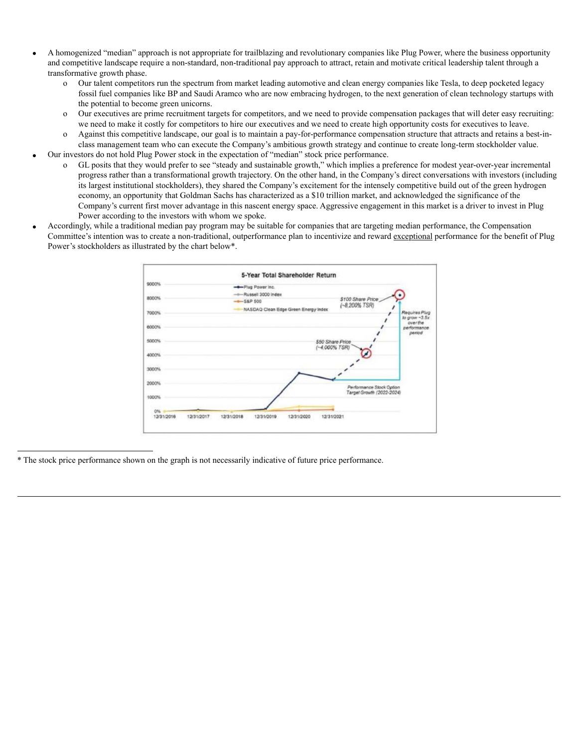- · A homogenized "median" approach is not appropriate for trailblazing and revolutionary companies like Plug Power, where the business opportunity and competitive landscape require a non-standard, non-traditional pay approach to attract, retain and motivate critical leadership talent through a transformative growth phase.
	- o Our talent competitors run the spectrum from market leading automotive and clean energy companies like Tesla, to deep pocketed legacy fossil fuel companies like BP and Saudi Aramco who are now embracing hydrogen, to the next generation of clean technology startups with the potential to become green unicorns.
	- o Our executives are prime recruitment targets for competitors, and we need to provide compensation packages that will deter easy recruiting: we need to make it costly for competitors to hire our executives and we need to create high opportunity costs for executives to leave.
	- o Against this competitive landscape, our goal is to maintain a pay-for-performance compensation structure that attracts and retains a best-inclass management team who can execute the Company's ambitious growth strategy and continue to create long-term stockholder value.
- · Our investors do not hold Plug Power stock in the expectation of "median" stock price performance.
	- o GL posits that they would prefer to see "steady and sustainable growth," which implies a preference for modest year-over-year incremental progress rather than a transformational growth trajectory. On the other hand, in the Company's direct conversations with investors (including its largest institutional stockholders), they shared the Company's excitement for the intensely competitive build out of the green hydrogen economy, an opportunity that Goldman Sachs has characterized as a \$10 trillion market, and acknowledged the significance of the Company's current first mover advantage in this nascent energy space. Aggressive engagement in this market is a driver to invest in Plug Power according to the investors with whom we spoke.
- · Accordingly, while a traditional median pay program may be suitable for companies that are targeting median performance, the Compensation Committee's intention was to create a non-traditional, outperformance plan to incentivize and reward exceptional performance for the benefit of Plug Power's stockholders as illustrated by the chart below\*.

| 9000% | -Plug Power Inc.                     |                                                       |                                  |
|-------|--------------------------------------|-------------------------------------------------------|----------------------------------|
| 8000% | -- Russell 3000 index<br>$-$ S&P 500 | \$100 Share Price<br>(~8,200% TSR)                    |                                  |
| 7000% | NASDAQ Clean Edge Green Energy Index |                                                       | Reguires Plug<br>to grow ~3.5x   |
| 6000% |                                      |                                                       | overthe<br>performance<br>period |
| 5000% |                                      | \$50 Share Price<br>$(-4.000\%$ TSR)                  |                                  |
| 4000% |                                      |                                                       |                                  |
| 3000% |                                      |                                                       |                                  |
| 2000% |                                      | Performance Stock Option<br>Target Growth (2022-2024) |                                  |
| 1000% |                                      |                                                       |                                  |
| 0%    |                                      |                                                       |                                  |

\* The stock price performance shown on the graph is not necessarily indicative of future price performance.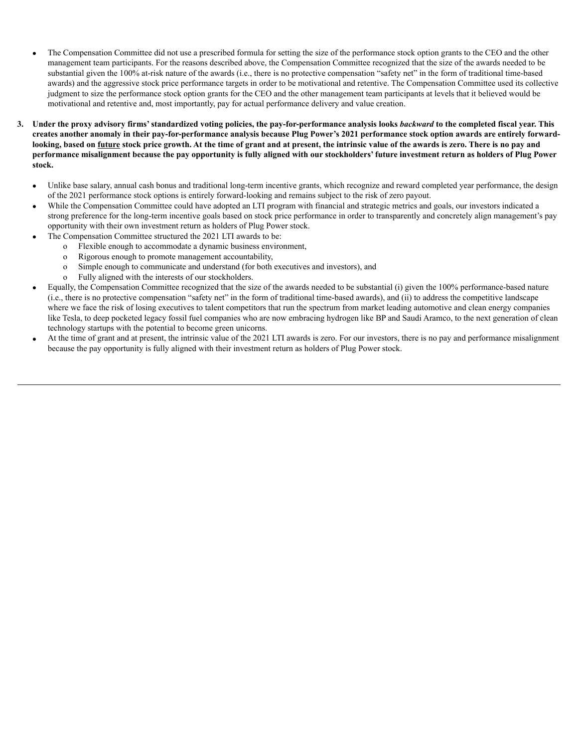- · The Compensation Committee did not use a prescribed formula for setting the size of the performance stock option grants to the CEO and the other management team participants. For the reasons described above, the Compensation Committee recognized that the size of the awards needed to be substantial given the 100% at-risk nature of the awards (i.e., there is no protective compensation "safety net" in the form of traditional time-based awards) and the aggressive stock price performance targets in order to be motivational and retentive. The Compensation Committee used its collective judgment to size the performance stock option grants for the CEO and the other management team participants at levels that it believed would be motivational and retentive and, most importantly, pay for actual performance delivery and value creation.
- 3. Under the proxy advisory firms' standardized voting policies, the pay-for-performance analysis looks backward to the completed fiscal year. This creates another anomaly in their pay-for-performance analysis because Plug Power's 2021 performance stock option awards are entirely forwardlooking, based on future stock price growth. At the time of grant and at present, the intrinsic value of the awards is zero. There is no pay and performance misalignment because the pay opportunity is fully aligned with our stockholders' future investment return as holders of Plug Power **stock.**
	- · Unlike base salary, annual cash bonus and traditional long-term incentive grants, which recognize and reward completed year performance, the design of the 2021 performance stock options is entirely forward-looking and remains subject to the risk of zero payout.
	- While the Compensation Committee could have adopted an LTI program with financial and strategic metrics and goals, our investors indicated a strong preference for the long-term incentive goals based on stock price performance in order to transparently and concretely align management's pay opportunity with their own investment return as holders of Plug Power stock.
	- The Compensation Committee structured the 2021 LTI awards to be:
		- o Flexible enough to accommodate a dynamic business environment,
		- o Rigorous enough to promote management accountability,
		- o Simple enough to communicate and understand (for both executives and investors), and
		- o Fully aligned with the interests of our stockholders.
	- Equally, the Compensation Committee recognized that the size of the awards needed to be substantial (i) given the 100% performance-based nature (i.e., there is no protective compensation "safety net" in the form of traditional time-based awards), and (ii) to address the competitive landscape where we face the risk of losing executives to talent competitors that run the spectrum from market leading automotive and clean energy companies like Tesla, to deep pocketed legacy fossil fuel companies who are now embracing hydrogen like BP and Saudi Aramco, to the next generation of clean technology startups with the potential to become green unicorns.
	- At the time of grant and at present, the intrinsic value of the 2021 LTI awards is zero. For our investors, there is no pay and performance misalignment because the pay opportunity is fully aligned with their investment return as holders of Plug Power stock.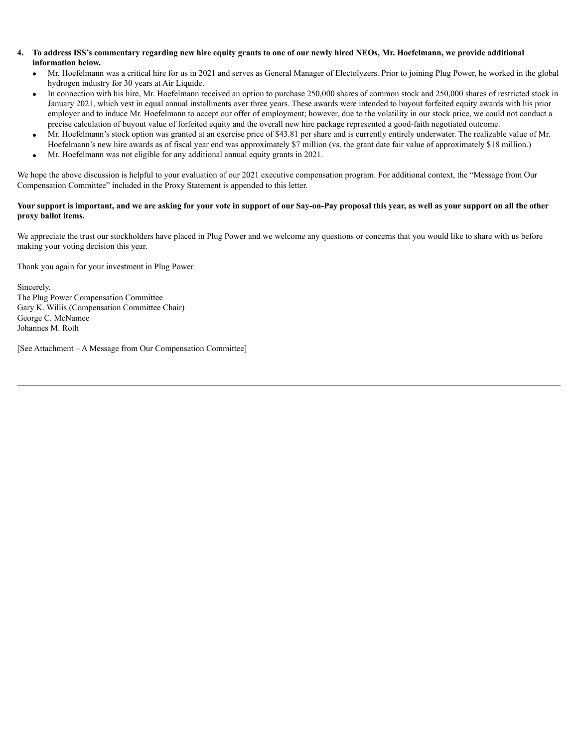- 4. To address ISS's commentary regarding new hire equity grants to one of our newly hired NEOs, Mr. Hoefelmann, we provide additional **information below.**
	- · Mr. Hoefelmann was a critical hire for us in 2021 and serves as General Manager of Electolyzers. Prior to joining Plug Power, he worked in the global hydrogen industry for 30 years at Air Liquide.
	- In connection with his hire, Mr. Hoefelmann received an option to purchase 250,000 shares of common stock and 250,000 shares of restricted stock in January 2021, which vest in equal annual installments over three years. These awards were intended to buyout forfeited equity awards with his prior employer and to induce Mr. Hoefelmann to accept our offer of employment; however, due to the volatility in our stock price, we could not conduct a precise calculation of buyout value of forfeited equity and the overall new hire package represented a good-faith negotiated outcome.
	- · Mr. Hoefelmann's stock option was granted at an exercise price of \$43.81 per share and is currently entirely underwater. The realizable value of Mr. Hoefelmann's new hire awards as of fiscal year end was approximately \$7 million (vs. the grant date fair value of approximately \$18 million.)
	- · Mr. Hoefelmann was not eligible for any additional annual equity grants in 2021.

We hope the above discussion is helpful to your evaluation of our 2021 executive compensation program. For additional context, the "Message from Our Compensation Committee" included in the Proxy Statement is appended to this letter.

#### Your support is important, and we are asking for your vote in support of our Say-on-Pay proposal this year, as well as your support on all the other **proxy ballot items.**

We appreciate the trust our stockholders have placed in Plug Power and we welcome any questions or concerns that you would like to share with us before making your voting decision this year.

Thank you again for your investment in Plug Power.

Sincerely, The Plug Power Compensation Committee Gary K. Willis (Compensation Committee Chair) George C. McNamee Johannes M. Roth

[See Attachment – A Message from Our Compensation Committee]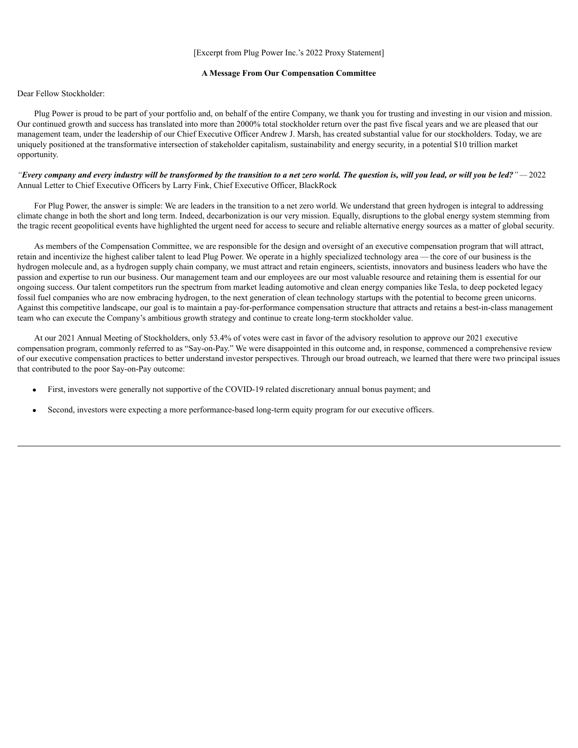#### **A Message From Our Compensation Committee**

#### Dear Fellow Stockholder:

Plug Power is proud to be part of your portfolio and, on behalf of the entire Company, we thank you for trusting and investing in our vision and mission. Our continued growth and success has translated into more than 2000% total stockholder return over the past five fiscal years and we are pleased that our management team, under the leadership of our Chief Executive Officer Andrew J. Marsh, has created substantial value for our stockholders. Today, we are uniquely positioned at the transformative intersection of stakeholder capitalism, sustainability and energy security, in a potential \$10 trillion market opportunity.

#### "Every company and every industry will be transformed by the transition to a net zero world. The question is, will you lead, or will you be led?" - 2022 Annual Letter to Chief Executive Officers by Larry Fink, Chief Executive Officer, BlackRock

For Plug Power, the answer is simple: We are leaders in the transition to a net zero world. We understand that green hydrogen is integral to addressing climate change in both the short and long term. Indeed, decarbonization is our very mission. Equally, disruptions to the global energy system stemming from the tragic recent geopolitical events have highlighted the urgent need for access to secure and reliable alternative energy sources as a matter of global security.

As members of the Compensation Committee, we are responsible for the design and oversight of an executive compensation program that will attract, retain and incentivize the highest caliber talent to lead Plug Power. We operate in a highly specialized technology area — the core of our business is the hydrogen molecule and, as a hydrogen supply chain company, we must attract and retain engineers, scientists, innovators and business leaders who have the passion and expertise to run our business. Our management team and our employees are our most valuable resource and retaining them is essential for our ongoing success. Our talent competitors run the spectrum from market leading automotive and clean energy companies like Tesla, to deep pocketed legacy fossil fuel companies who are now embracing hydrogen, to the next generation of clean technology startups with the potential to become green unicorns. Against this competitive landscape, our goal is to maintain a pay-for-performance compensation structure that attracts and retains a best-in-class management team who can execute the Company's ambitious growth strategy and continue to create long-term stockholder value.

At our 2021 Annual Meeting of Stockholders, only 53.4% of votes were cast in favor of the advisory resolution to approve our 2021 executive compensation program, commonly referred to as "Say-on-Pay." We were disappointed in this outcome and, in response, commenced a comprehensive review of our executive compensation practices to better understand investor perspectives. Through our broad outreach, we learned that there were two principal issues that contributed to the poor Say-on-Pay outcome:

- First, investors were generally not supportive of the COVID-19 related discretionary annual bonus payment; and
- Second, investors were expecting a more performance-based long-term equity program for our executive officers.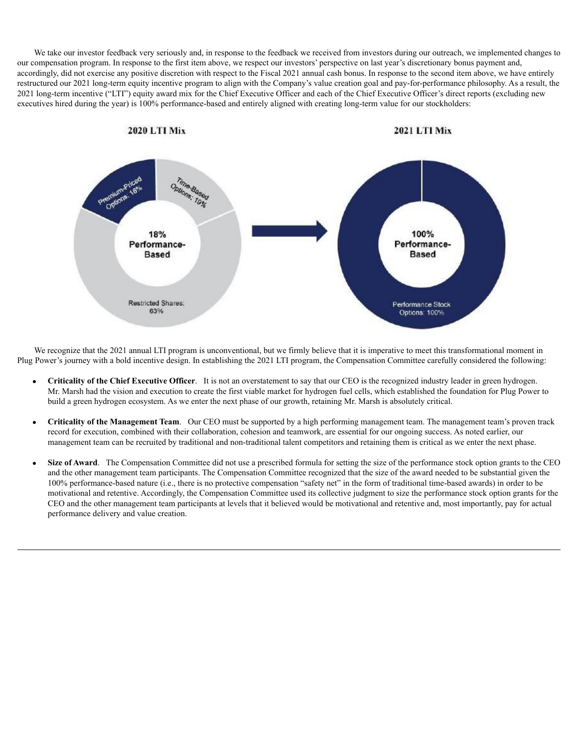We take our investor feedback very seriously and, in response to the feedback we received from investors during our outreach, we implemented changes to our compensation program. In response to the first item above, we respect our investors' perspective on last year's discretionary bonus payment and, accordingly, did not exercise any positive discretion with respect to the Fiscal 2021 annual cash bonus. In response to the second item above, we have entirely restructured our 2021 long-term equity incentive program to align with the Company's value creation goal and pay-for-performance philosophy. As a result, the 2021 long-term incentive ("LTI") equity award mix for the Chief Executive Officer and each of the Chief Executive Officer's direct reports (excluding new executives hired during the year) is 100% performance-based and entirely aligned with creating long-term value for our stockholders:



We recognize that the 2021 annual LTI program is unconventional, but we firmly believe that it is imperative to meet this transformational moment in Plug Power's journey with a bold incentive design. In establishing the 2021 LTI program, the Compensation Committee carefully considered the following:

- · **Criticality of the Chief Executive Officer**. It is not an overstatement to say that our CEO is the recognized industry leader in green hydrogen. Mr. Marsh had the vision and execution to create the first viable market for hydrogen fuel cells, which established the foundation for Plug Power to build a green hydrogen ecosystem. As we enter the next phase of our growth, retaining Mr. Marsh is absolutely critical.
- · **Criticality of the Management Team**. Our CEO must be supported by a high performing management team. The management team's proven track record for execution, combined with their collaboration, cohesion and teamwork, are essential for our ongoing success. As noted earlier, our management team can be recruited by traditional and non-traditional talent competitors and retaining them is critical as we enter the next phase.
- Size of Award. The Compensation Committee did not use a prescribed formula for setting the size of the performance stock option grants to the CEO and the other management team participants. The Compensation Committee recognized that the size of the award needed to be substantial given the 100% performance-based nature (i.e., there is no protective compensation "safety net" in the form of traditional time-based awards) in order to be motivational and retentive. Accordingly, the Compensation Committee used its collective judgment to size the performance stock option grants for the CEO and the other management team participants at levels that it believed would be motivational and retentive and, most importantly, pay for actual performance delivery and value creation.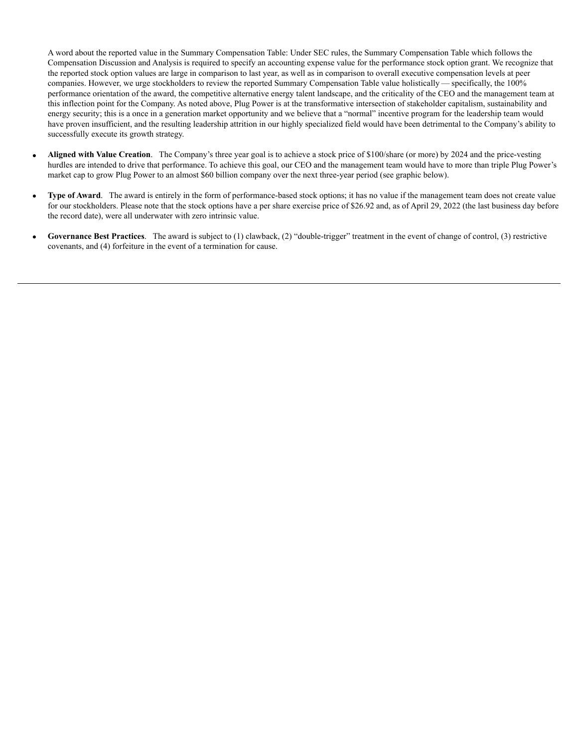A word about the reported value in the Summary Compensation Table: Under SEC rules, the Summary Compensation Table which follows the Compensation Discussion and Analysis is required to specify an accounting expense value for the performance stock option grant. We recognize that the reported stock option values are large in comparison to last year, as well as in comparison to overall executive compensation levels at peer companies. However, we urge stockholders to review the reported Summary Compensation Table value holistically — specifically, the 100% performance orientation of the award, the competitive alternative energy talent landscape, and the criticality of the CEO and the management team at this inflection point for the Company. As noted above, Plug Power is at the transformative intersection of stakeholder capitalism, sustainability and energy security; this is a once in a generation market opportunity and we believe that a "normal" incentive program for the leadership team would have proven insufficient, and the resulting leadership attrition in our highly specialized field would have been detrimental to the Company's ability to successfully execute its growth strategy.

- · **Aligned with Value Creation**. The Company's three year goal is to achieve a stock price of \$100/share (or more) by 2024 and the price-vesting hurdles are intended to drive that performance. To achieve this goal, our CEO and the management team would have to more than triple Plug Power's market cap to grow Plug Power to an almost \$60 billion company over the next three-year period (see graphic below).
- · **Type of Award**. The award is entirely in the form of performance-based stock options; it has no value if the management team does not create value for our stockholders. Please note that the stock options have a per share exercise price of \$26.92 and, as of April 29, 2022 (the last business day before the record date), were all underwater with zero intrinsic value.
- · **Governance Best Practices**. The award is subject to (1) clawback, (2) "double-trigger" treatment in the event of change of control, (3) restrictive covenants, and (4) forfeiture in the event of a termination for cause.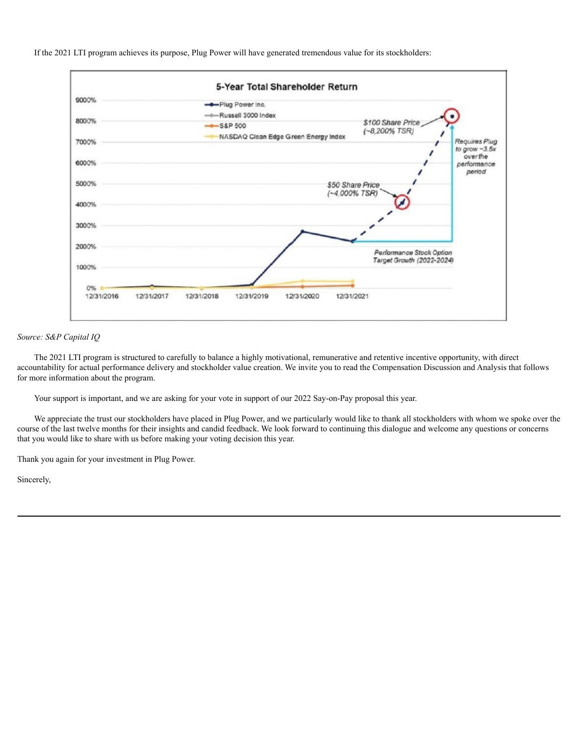If the 2021 LTI program achieves its purpose, Plug Power will have generated tremendous value for its stockholders:



#### *Source: S&P Capital IQ*

The 2021 LTI program is structured to carefully to balance a highly motivational, remunerative and retentive incentive opportunity, with direct accountability for actual performance delivery and stockholder value creation. We invite you to read the Compensation Discussion and Analysis that follows for more information about the program.

Your support is important, and we are asking for your vote in support of our 2022 Say-on-Pay proposal this year.

We appreciate the trust our stockholders have placed in Plug Power, and we particularly would like to thank all stockholders with whom we spoke over the course of the last twelve months for their insights and candid feedback. We look forward to continuing this dialogue and welcome any questions or concerns that you would like to share with us before making your voting decision this year.

Thank you again for your investment in Plug Power.

Sincerely,